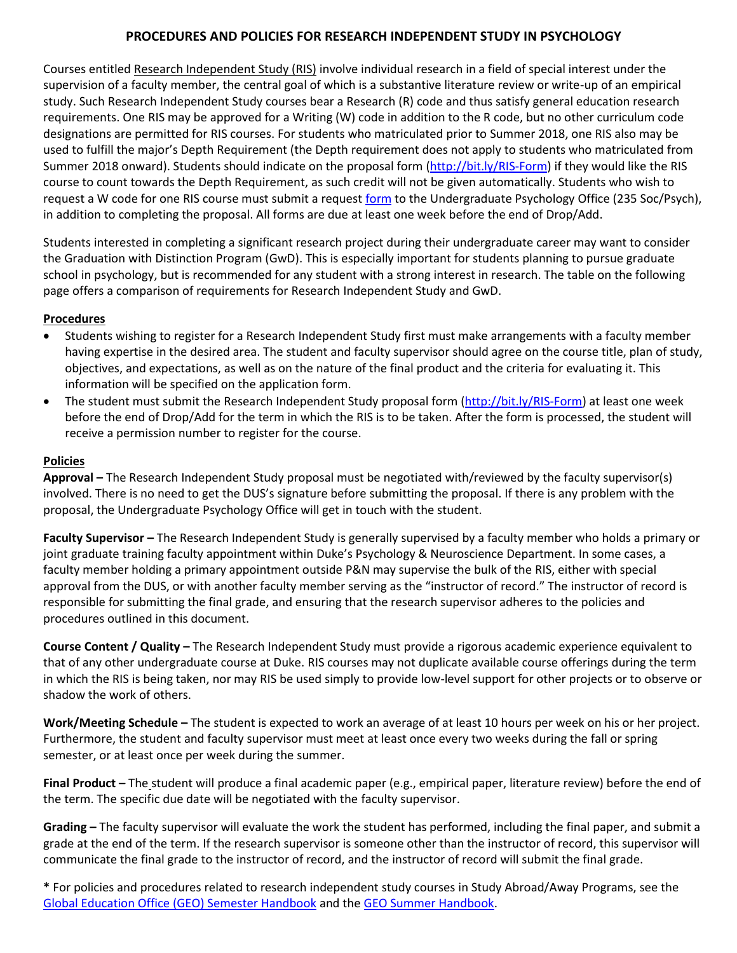## **PROCEDURES AND POLICIES FOR RESEARCH INDEPENDENT STUDY IN PSYCHOLOGY**

Courses entitled Research Independent Study (RIS) involve individual research in a field of special interest under the supervision of a faculty member, the central goal of which is a substantive literature review or write-up of an empirical study. Such Research Independent Study courses bear a Research (R) code and thus satisfy general education research requirements. One RIS may be approved for a Writing (W) code in addition to the R code, but no other curriculum code designations are permitted for RIS courses. For students who matriculated prior to Summer 2018, one RIS also may be used to fulfill the major's Depth Requirement (the Depth requirement does not apply to students who matriculated from Summer 2018 onward). Students should indicate on the proposal form [\(http://bit.ly/RIS-Form\)](http://bit.ly/RIS-Form) if they would like the RIS course to count towards the Depth Requirement, as such credit will not be given automatically. Students who wish to request a W code for one RIS course must submit a reques[t form](http://trinity.duke.edu/undergraduate/academic-policies/research-independent-study-w-code) to the Undergraduate Psychology Office (235 Soc/Psych), in addition to completing the proposal. All forms are due at least one week before the end of Drop/Add.

Students interested in completing a significant research project during their undergraduate career may want to consider the Graduation with Distinction Program (GwD). This is especially important for students planning to pursue graduate school in psychology, but is recommended for any student with a strong interest in research. The table on the following page offers a comparison of requirements for Research Independent Study and GwD.

## **Procedures**

- Students wishing to register for a Research Independent Study first must make arrangements with a faculty member having expertise in the desired area. The student and faculty supervisor should agree on the course title, plan of study, objectives, and expectations, as well as on the nature of the final product and the criteria for evaluating it. This information will be specified on the application form.
- The student must submit the Research Independent Study proposal form [\(http://bit.ly/RIS-Form\)](http://bit.ly/RIS-Form) at least one week before the end of Drop/Add for the term in which the RIS is to be taken. After the form is processed, the student will receive a permission number to register for the course.

## **Policies**

**Approval –** The Research Independent Study proposal must be negotiated with/reviewed by the faculty supervisor(s) involved. There is no need to get the DUS's signature before submitting the proposal. If there is any problem with the proposal, the Undergraduate Psychology Office will get in touch with the student.

**Faculty Supervisor –** The Research Independent Study is generally supervised by a faculty member who holds a primary or joint graduate training faculty appointment within Duke's Psychology & Neuroscience Department. In some cases, a faculty member holding a primary appointment outside P&N may supervise the bulk of the RIS, either with special approval from the DUS, or with another faculty member serving as the "instructor of record." The instructor of record is responsible for submitting the final grade, and ensuring that the research supervisor adheres to the policies and procedures outlined in this document.

**Course Content / Quality –** The Research Independent Study must provide a rigorous academic experience equivalent to that of any other undergraduate course at Duke. RIS courses may not duplicate available course offerings during the term in which the RIS is being taken, nor may RIS be used simply to provide low-level support for other projects or to observe or shadow the work of others.

**Work/Meeting Schedule –** The student is expected to work an average of at least 10 hours per week on his or her project. Furthermore, the student and faculty supervisor must meet at least once every two weeks during the fall or spring semester, or at least once per week during the summer.

**Final Product –** The student will produce a final academic paper (e.g., empirical paper, literature review) before the end of the term. The specific due date will be negotiated with the faculty supervisor.

**Grading –** The faculty supervisor will evaluate the work the student has performed, including the final paper, and submit a grade at the end of the term. If the research supervisor is someone other than the instructor of record, this supervisor will communicate the final grade to the instructor of record, and the instructor of record will submit the final grade.

**\*** For policies and procedures related to research independent study courses in Study Abroad/Away Programs, see the [Global Education Office \(GEO\) Semester Handbook](https://duke.app.box.com/v/geo-semester-handbook) and the [GEO Summer Handbook.](https://duke.app.box.com/v/geo-summer-abroad-handbook)